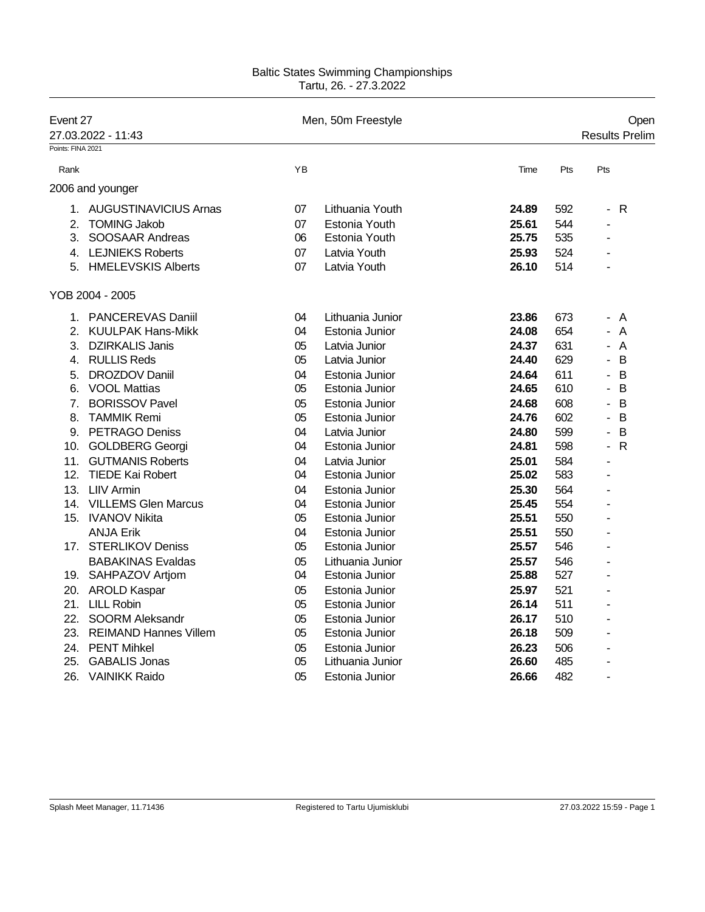## Baltic States Swimming Championships Tartu, 26. - 27.3.2022

| Points: FINA 2021<br>YB<br>Pts<br>Pts<br>Rank<br>Time<br>2006 and younger<br>1. AUGUSTINAVICIUS Arnas<br>07<br>Lithuania Youth<br>24.89<br>592<br>R<br>$\blacksquare$<br><b>Estonia Youth</b><br>544<br><b>TOMING Jakob</b><br>07<br>25.61<br>2.<br>÷<br>25.75<br>SOOSAAR Andreas<br>06<br>535<br>3.<br>Estonia Youth<br><b>LEJNIEKS Roberts</b><br>07<br>Latvia Youth<br>25.93<br>524<br>4.<br><b>HMELEVSKIS Alberts</b><br>07<br>Latvia Youth<br>26.10<br>514<br>5.<br>YOB 2004 - 2005<br>PANCEREVAS Daniil<br>04<br>Lithuania Junior<br>23.86<br>673<br>1.<br>A<br>$\overline{\phantom{0}}$<br><b>KUULPAK Hans-Mikk</b><br>24.08<br>654<br>A<br>2.<br>04<br>Estonia Junior<br><b>DZIRKALIS Janis</b><br>05<br>24.37<br>631<br>A<br>3.<br>Latvia Junior<br><b>RULLIS Reds</b><br>629<br>B<br>05<br>24.40<br>4.<br>Latvia Junior<br>ä,<br>B<br><b>DROZDOV Daniil</b><br>04<br>24.64<br>611<br>5.<br>Estonia Junior<br>$\blacksquare$<br>B<br><b>VOOL Mattias</b><br>05<br>24.65<br>610<br>Estonia Junior<br>6.<br>$\overline{\phantom{a}}$<br><b>BORISSOV Pavel</b><br>05<br>Estonia Junior<br>24.68<br>608<br>B<br>7.<br>$\overline{\phantom{a}}$<br>24.76<br>602<br>B<br>8.<br><b>TAMMIK Remi</b><br>05<br>Estonia Junior<br>$\blacksquare$<br>9. PETRAGO Deniss<br>599<br>B<br>04<br>Latvia Junior<br>24.80<br>ä,<br>$\mathsf{R}$<br>24.81<br>598<br>10. GOLDBERG Georgi<br>04<br>Estonia Junior<br>$\blacksquare$<br>25.01<br>584<br>11.<br><b>GUTMANIS Roberts</b><br>04<br>Latvia Junior<br>٠<br>12.<br><b>TIEDE Kai Robert</b><br>04<br>25.02<br>583<br>Estonia Junior<br>L,<br>13. LIIV Armin<br>04<br>25.30<br>564<br>Estonia Junior<br>14. VILLEMS Glen Marcus<br>04<br>25.45<br>554<br>Estonia Junior<br>$\blacksquare$<br>25.51<br>15. IVANOV Nikita<br>05<br>Estonia Junior<br>550<br>$\blacksquare$<br><b>ANJA Erik</b><br>25.51<br>04<br>Estonia Junior<br>550<br>ä,<br>17. STERLIKOV Deniss<br>25.57<br>546<br>05<br>Estonia Junior<br>÷<br><b>BABAKINAS Evaldas</b><br>25.57<br>05<br>Lithuania Junior<br>546<br>ä,<br>25.88<br>527<br>19. SAHPAZOV Artjom<br>04<br>Estonia Junior<br>L,<br>20. AROLD Kaspar<br>25.97<br>521<br>05<br>Estonia Junior<br>ä,<br><b>LILL Robin</b><br>21.<br>05<br>26.14<br>511<br>Estonia Junior<br>$\blacksquare$<br>22.<br><b>SOORM Aleksandr</b><br>05<br>26.17<br>510<br>Estonia Junior<br>$\blacksquare$<br>23.<br><b>REIMAND Hannes Villem</b><br>05<br>26.18<br>509<br>Estonia Junior<br>ä,<br>24. PENT Mihkel<br>05<br>Estonia Junior<br>26.23<br>506<br>ä,<br>25.<br><b>GABALIS Jonas</b><br>05<br>Lithuania Junior<br>26.60<br>485<br>26. VAINIKK Raido<br>05<br>26.66<br>482<br>Estonia Junior<br>ä, | Event 27<br>27.03.2022 - 11:43 |  | Men, 50m Freestyle |  | Open<br><b>Results Prelim</b> |
|-----------------------------------------------------------------------------------------------------------------------------------------------------------------------------------------------------------------------------------------------------------------------------------------------------------------------------------------------------------------------------------------------------------------------------------------------------------------------------------------------------------------------------------------------------------------------------------------------------------------------------------------------------------------------------------------------------------------------------------------------------------------------------------------------------------------------------------------------------------------------------------------------------------------------------------------------------------------------------------------------------------------------------------------------------------------------------------------------------------------------------------------------------------------------------------------------------------------------------------------------------------------------------------------------------------------------------------------------------------------------------------------------------------------------------------------------------------------------------------------------------------------------------------------------------------------------------------------------------------------------------------------------------------------------------------------------------------------------------------------------------------------------------------------------------------------------------------------------------------------------------------------------------------------------------------------------------------------------------------------------------------------------------------------------------------------------------------------------------------------------------------------------------------------------------------------------------------------------------------------------------------------------------------------------------------------------------------------------------------------------------------------------------------------------------------------------------------------------------------------------------------------------------------------------------------------------------------------------------------------------------------------------------------------|--------------------------------|--|--------------------|--|-------------------------------|
|                                                                                                                                                                                                                                                                                                                                                                                                                                                                                                                                                                                                                                                                                                                                                                                                                                                                                                                                                                                                                                                                                                                                                                                                                                                                                                                                                                                                                                                                                                                                                                                                                                                                                                                                                                                                                                                                                                                                                                                                                                                                                                                                                                                                                                                                                                                                                                                                                                                                                                                                                                                                                                                                 |                                |  |                    |  |                               |
|                                                                                                                                                                                                                                                                                                                                                                                                                                                                                                                                                                                                                                                                                                                                                                                                                                                                                                                                                                                                                                                                                                                                                                                                                                                                                                                                                                                                                                                                                                                                                                                                                                                                                                                                                                                                                                                                                                                                                                                                                                                                                                                                                                                                                                                                                                                                                                                                                                                                                                                                                                                                                                                                 |                                |  |                    |  |                               |
|                                                                                                                                                                                                                                                                                                                                                                                                                                                                                                                                                                                                                                                                                                                                                                                                                                                                                                                                                                                                                                                                                                                                                                                                                                                                                                                                                                                                                                                                                                                                                                                                                                                                                                                                                                                                                                                                                                                                                                                                                                                                                                                                                                                                                                                                                                                                                                                                                                                                                                                                                                                                                                                                 |                                |  |                    |  |                               |
|                                                                                                                                                                                                                                                                                                                                                                                                                                                                                                                                                                                                                                                                                                                                                                                                                                                                                                                                                                                                                                                                                                                                                                                                                                                                                                                                                                                                                                                                                                                                                                                                                                                                                                                                                                                                                                                                                                                                                                                                                                                                                                                                                                                                                                                                                                                                                                                                                                                                                                                                                                                                                                                                 |                                |  |                    |  |                               |
|                                                                                                                                                                                                                                                                                                                                                                                                                                                                                                                                                                                                                                                                                                                                                                                                                                                                                                                                                                                                                                                                                                                                                                                                                                                                                                                                                                                                                                                                                                                                                                                                                                                                                                                                                                                                                                                                                                                                                                                                                                                                                                                                                                                                                                                                                                                                                                                                                                                                                                                                                                                                                                                                 |                                |  |                    |  |                               |
|                                                                                                                                                                                                                                                                                                                                                                                                                                                                                                                                                                                                                                                                                                                                                                                                                                                                                                                                                                                                                                                                                                                                                                                                                                                                                                                                                                                                                                                                                                                                                                                                                                                                                                                                                                                                                                                                                                                                                                                                                                                                                                                                                                                                                                                                                                                                                                                                                                                                                                                                                                                                                                                                 |                                |  |                    |  |                               |
|                                                                                                                                                                                                                                                                                                                                                                                                                                                                                                                                                                                                                                                                                                                                                                                                                                                                                                                                                                                                                                                                                                                                                                                                                                                                                                                                                                                                                                                                                                                                                                                                                                                                                                                                                                                                                                                                                                                                                                                                                                                                                                                                                                                                                                                                                                                                                                                                                                                                                                                                                                                                                                                                 |                                |  |                    |  |                               |
|                                                                                                                                                                                                                                                                                                                                                                                                                                                                                                                                                                                                                                                                                                                                                                                                                                                                                                                                                                                                                                                                                                                                                                                                                                                                                                                                                                                                                                                                                                                                                                                                                                                                                                                                                                                                                                                                                                                                                                                                                                                                                                                                                                                                                                                                                                                                                                                                                                                                                                                                                                                                                                                                 |                                |  |                    |  |                               |
|                                                                                                                                                                                                                                                                                                                                                                                                                                                                                                                                                                                                                                                                                                                                                                                                                                                                                                                                                                                                                                                                                                                                                                                                                                                                                                                                                                                                                                                                                                                                                                                                                                                                                                                                                                                                                                                                                                                                                                                                                                                                                                                                                                                                                                                                                                                                                                                                                                                                                                                                                                                                                                                                 |                                |  |                    |  |                               |
|                                                                                                                                                                                                                                                                                                                                                                                                                                                                                                                                                                                                                                                                                                                                                                                                                                                                                                                                                                                                                                                                                                                                                                                                                                                                                                                                                                                                                                                                                                                                                                                                                                                                                                                                                                                                                                                                                                                                                                                                                                                                                                                                                                                                                                                                                                                                                                                                                                                                                                                                                                                                                                                                 |                                |  |                    |  |                               |
|                                                                                                                                                                                                                                                                                                                                                                                                                                                                                                                                                                                                                                                                                                                                                                                                                                                                                                                                                                                                                                                                                                                                                                                                                                                                                                                                                                                                                                                                                                                                                                                                                                                                                                                                                                                                                                                                                                                                                                                                                                                                                                                                                                                                                                                                                                                                                                                                                                                                                                                                                                                                                                                                 |                                |  |                    |  |                               |
|                                                                                                                                                                                                                                                                                                                                                                                                                                                                                                                                                                                                                                                                                                                                                                                                                                                                                                                                                                                                                                                                                                                                                                                                                                                                                                                                                                                                                                                                                                                                                                                                                                                                                                                                                                                                                                                                                                                                                                                                                                                                                                                                                                                                                                                                                                                                                                                                                                                                                                                                                                                                                                                                 |                                |  |                    |  |                               |
|                                                                                                                                                                                                                                                                                                                                                                                                                                                                                                                                                                                                                                                                                                                                                                                                                                                                                                                                                                                                                                                                                                                                                                                                                                                                                                                                                                                                                                                                                                                                                                                                                                                                                                                                                                                                                                                                                                                                                                                                                                                                                                                                                                                                                                                                                                                                                                                                                                                                                                                                                                                                                                                                 |                                |  |                    |  |                               |
|                                                                                                                                                                                                                                                                                                                                                                                                                                                                                                                                                                                                                                                                                                                                                                                                                                                                                                                                                                                                                                                                                                                                                                                                                                                                                                                                                                                                                                                                                                                                                                                                                                                                                                                                                                                                                                                                                                                                                                                                                                                                                                                                                                                                                                                                                                                                                                                                                                                                                                                                                                                                                                                                 |                                |  |                    |  |                               |
|                                                                                                                                                                                                                                                                                                                                                                                                                                                                                                                                                                                                                                                                                                                                                                                                                                                                                                                                                                                                                                                                                                                                                                                                                                                                                                                                                                                                                                                                                                                                                                                                                                                                                                                                                                                                                                                                                                                                                                                                                                                                                                                                                                                                                                                                                                                                                                                                                                                                                                                                                                                                                                                                 |                                |  |                    |  |                               |
|                                                                                                                                                                                                                                                                                                                                                                                                                                                                                                                                                                                                                                                                                                                                                                                                                                                                                                                                                                                                                                                                                                                                                                                                                                                                                                                                                                                                                                                                                                                                                                                                                                                                                                                                                                                                                                                                                                                                                                                                                                                                                                                                                                                                                                                                                                                                                                                                                                                                                                                                                                                                                                                                 |                                |  |                    |  |                               |
|                                                                                                                                                                                                                                                                                                                                                                                                                                                                                                                                                                                                                                                                                                                                                                                                                                                                                                                                                                                                                                                                                                                                                                                                                                                                                                                                                                                                                                                                                                                                                                                                                                                                                                                                                                                                                                                                                                                                                                                                                                                                                                                                                                                                                                                                                                                                                                                                                                                                                                                                                                                                                                                                 |                                |  |                    |  |                               |
|                                                                                                                                                                                                                                                                                                                                                                                                                                                                                                                                                                                                                                                                                                                                                                                                                                                                                                                                                                                                                                                                                                                                                                                                                                                                                                                                                                                                                                                                                                                                                                                                                                                                                                                                                                                                                                                                                                                                                                                                                                                                                                                                                                                                                                                                                                                                                                                                                                                                                                                                                                                                                                                                 |                                |  |                    |  |                               |
|                                                                                                                                                                                                                                                                                                                                                                                                                                                                                                                                                                                                                                                                                                                                                                                                                                                                                                                                                                                                                                                                                                                                                                                                                                                                                                                                                                                                                                                                                                                                                                                                                                                                                                                                                                                                                                                                                                                                                                                                                                                                                                                                                                                                                                                                                                                                                                                                                                                                                                                                                                                                                                                                 |                                |  |                    |  |                               |
|                                                                                                                                                                                                                                                                                                                                                                                                                                                                                                                                                                                                                                                                                                                                                                                                                                                                                                                                                                                                                                                                                                                                                                                                                                                                                                                                                                                                                                                                                                                                                                                                                                                                                                                                                                                                                                                                                                                                                                                                                                                                                                                                                                                                                                                                                                                                                                                                                                                                                                                                                                                                                                                                 |                                |  |                    |  |                               |
|                                                                                                                                                                                                                                                                                                                                                                                                                                                                                                                                                                                                                                                                                                                                                                                                                                                                                                                                                                                                                                                                                                                                                                                                                                                                                                                                                                                                                                                                                                                                                                                                                                                                                                                                                                                                                                                                                                                                                                                                                                                                                                                                                                                                                                                                                                                                                                                                                                                                                                                                                                                                                                                                 |                                |  |                    |  |                               |
|                                                                                                                                                                                                                                                                                                                                                                                                                                                                                                                                                                                                                                                                                                                                                                                                                                                                                                                                                                                                                                                                                                                                                                                                                                                                                                                                                                                                                                                                                                                                                                                                                                                                                                                                                                                                                                                                                                                                                                                                                                                                                                                                                                                                                                                                                                                                                                                                                                                                                                                                                                                                                                                                 |                                |  |                    |  |                               |
|                                                                                                                                                                                                                                                                                                                                                                                                                                                                                                                                                                                                                                                                                                                                                                                                                                                                                                                                                                                                                                                                                                                                                                                                                                                                                                                                                                                                                                                                                                                                                                                                                                                                                                                                                                                                                                                                                                                                                                                                                                                                                                                                                                                                                                                                                                                                                                                                                                                                                                                                                                                                                                                                 |                                |  |                    |  |                               |
|                                                                                                                                                                                                                                                                                                                                                                                                                                                                                                                                                                                                                                                                                                                                                                                                                                                                                                                                                                                                                                                                                                                                                                                                                                                                                                                                                                                                                                                                                                                                                                                                                                                                                                                                                                                                                                                                                                                                                                                                                                                                                                                                                                                                                                                                                                                                                                                                                                                                                                                                                                                                                                                                 |                                |  |                    |  |                               |
|                                                                                                                                                                                                                                                                                                                                                                                                                                                                                                                                                                                                                                                                                                                                                                                                                                                                                                                                                                                                                                                                                                                                                                                                                                                                                                                                                                                                                                                                                                                                                                                                                                                                                                                                                                                                                                                                                                                                                                                                                                                                                                                                                                                                                                                                                                                                                                                                                                                                                                                                                                                                                                                                 |                                |  |                    |  |                               |
|                                                                                                                                                                                                                                                                                                                                                                                                                                                                                                                                                                                                                                                                                                                                                                                                                                                                                                                                                                                                                                                                                                                                                                                                                                                                                                                                                                                                                                                                                                                                                                                                                                                                                                                                                                                                                                                                                                                                                                                                                                                                                                                                                                                                                                                                                                                                                                                                                                                                                                                                                                                                                                                                 |                                |  |                    |  |                               |
|                                                                                                                                                                                                                                                                                                                                                                                                                                                                                                                                                                                                                                                                                                                                                                                                                                                                                                                                                                                                                                                                                                                                                                                                                                                                                                                                                                                                                                                                                                                                                                                                                                                                                                                                                                                                                                                                                                                                                                                                                                                                                                                                                                                                                                                                                                                                                                                                                                                                                                                                                                                                                                                                 |                                |  |                    |  |                               |
|                                                                                                                                                                                                                                                                                                                                                                                                                                                                                                                                                                                                                                                                                                                                                                                                                                                                                                                                                                                                                                                                                                                                                                                                                                                                                                                                                                                                                                                                                                                                                                                                                                                                                                                                                                                                                                                                                                                                                                                                                                                                                                                                                                                                                                                                                                                                                                                                                                                                                                                                                                                                                                                                 |                                |  |                    |  |                               |
|                                                                                                                                                                                                                                                                                                                                                                                                                                                                                                                                                                                                                                                                                                                                                                                                                                                                                                                                                                                                                                                                                                                                                                                                                                                                                                                                                                                                                                                                                                                                                                                                                                                                                                                                                                                                                                                                                                                                                                                                                                                                                                                                                                                                                                                                                                                                                                                                                                                                                                                                                                                                                                                                 |                                |  |                    |  |                               |
|                                                                                                                                                                                                                                                                                                                                                                                                                                                                                                                                                                                                                                                                                                                                                                                                                                                                                                                                                                                                                                                                                                                                                                                                                                                                                                                                                                                                                                                                                                                                                                                                                                                                                                                                                                                                                                                                                                                                                                                                                                                                                                                                                                                                                                                                                                                                                                                                                                                                                                                                                                                                                                                                 |                                |  |                    |  |                               |
|                                                                                                                                                                                                                                                                                                                                                                                                                                                                                                                                                                                                                                                                                                                                                                                                                                                                                                                                                                                                                                                                                                                                                                                                                                                                                                                                                                                                                                                                                                                                                                                                                                                                                                                                                                                                                                                                                                                                                                                                                                                                                                                                                                                                                                                                                                                                                                                                                                                                                                                                                                                                                                                                 |                                |  |                    |  |                               |
|                                                                                                                                                                                                                                                                                                                                                                                                                                                                                                                                                                                                                                                                                                                                                                                                                                                                                                                                                                                                                                                                                                                                                                                                                                                                                                                                                                                                                                                                                                                                                                                                                                                                                                                                                                                                                                                                                                                                                                                                                                                                                                                                                                                                                                                                                                                                                                                                                                                                                                                                                                                                                                                                 |                                |  |                    |  |                               |
|                                                                                                                                                                                                                                                                                                                                                                                                                                                                                                                                                                                                                                                                                                                                                                                                                                                                                                                                                                                                                                                                                                                                                                                                                                                                                                                                                                                                                                                                                                                                                                                                                                                                                                                                                                                                                                                                                                                                                                                                                                                                                                                                                                                                                                                                                                                                                                                                                                                                                                                                                                                                                                                                 |                                |  |                    |  |                               |
|                                                                                                                                                                                                                                                                                                                                                                                                                                                                                                                                                                                                                                                                                                                                                                                                                                                                                                                                                                                                                                                                                                                                                                                                                                                                                                                                                                                                                                                                                                                                                                                                                                                                                                                                                                                                                                                                                                                                                                                                                                                                                                                                                                                                                                                                                                                                                                                                                                                                                                                                                                                                                                                                 |                                |  |                    |  |                               |
|                                                                                                                                                                                                                                                                                                                                                                                                                                                                                                                                                                                                                                                                                                                                                                                                                                                                                                                                                                                                                                                                                                                                                                                                                                                                                                                                                                                                                                                                                                                                                                                                                                                                                                                                                                                                                                                                                                                                                                                                                                                                                                                                                                                                                                                                                                                                                                                                                                                                                                                                                                                                                                                                 |                                |  |                    |  |                               |